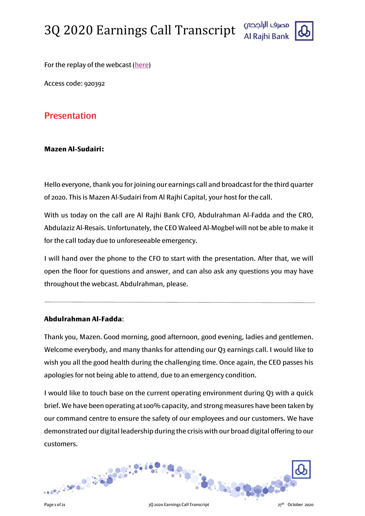

For the replay of the webcast [\(here\)](https://www.incommglobalevents.com/replay/4519/al-rajhi-bank-2q-earnings-call/)

Access code: 920392

# Presentation

# **Mazen Al-Sudairi:**

Hello everyone, thank you for joining our earnings call and broadcast for the third quarter of 2020. This is Mazen Al-Sudairi from Al Rajhi Capital, your host for the call.

With us today on the call are Al Rajhi Bank CFO, Abdulrahman Al-Fadda and the CRO, Abdulaziz Al-Resais. Unfortunately, the CEO Waleed Al-Mogbel will not be able to make it for the call today due to unforeseeable emergency.

I will hand over the phone to the CFO to start with the presentation. After that, we will open the floor for questions and answer, and can also ask any questions you may have throughout the webcast. Abdulrahman, please.

# **Abdulrahman Al-Fadda**:

Thank you, Mazen. Good morning, good afternoon, good evening, ladies and gentlemen. Welcome everybody, and many thanks for attending our Q3 earnings call. I would like to wish you all the good health during the challenging time. Once again, the CEO passes his apologies for not being able to attend, due to an emergency condition.

I would like to touch base on the current operating environment during Q3 with a quick brief. We have been operating at 100% capacity, and strong measures have been taken by our command centre to ensure the safety of our employees and our customers. We have demonstrated our digital leadership during the crisis with our broad digital offering to our customers.

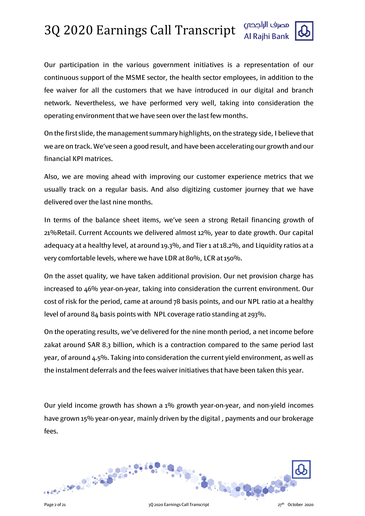

Our participation in the various government initiatives is a representation of our continuous support of the MSME sector, the health sector employees, in addition to the fee waiver for all the customers that we have introduced in our digital and branch network. Nevertheless, we have performed very well, taking into consideration the operating environment that we have seen over the last few months.

On the first slide, the management summary highlights, on the strategy side, I believe that we are on track. We've seen a good result, and have been accelerating our growth and our financial KPI matrices.

Also, we are moving ahead with improving our customer experience metrics that we usually track on a regular basis. And also digitizing customer journey that we have delivered over the last nine months.

In terms of the balance sheet items, we've seen a strong Retail financing growth of 21%Retail. Current Accounts we delivered almost 12%, year to date growth. Our capital adequacy at a healthy level, at around 19.3%, and Tier 1 at 18.2%, and Liquidity ratios at a very comfortable levels, where we have LDR at 80%, LCR at 150%.

On the asset quality, we have taken additional provision. Our net provision charge has increased to 46% year-on-year, taking into consideration the current environment. Our cost of risk for the period, came at around 78 basis points, and our NPL ratio at a healthy level of around 84 basis points with NPL coverage ratio standing at 293%.

On the operating results, we've delivered for the nine month period, a net income before zakat around SAR 8.3 billion, which is a contraction compared to the same period last year, of around 4.5%. Taking into consideration the current yield environment, as well as the instalment deferrals and the fees waiver initiatives that have been taken this year.

Our yield income growth has shown a  $1\%$  growth year-on-year, and non-yield incomes have grown 15% year-on-year, mainly driven by the digital , payments and our brokerage fees.

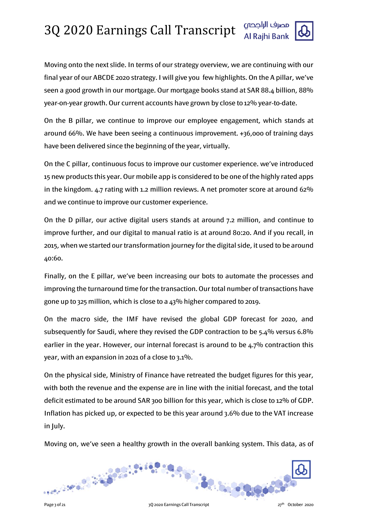Moving onto the next slide. In terms of our strategy overview, we are continuing with our final year of our ABCDE 2020 strategy. I will give you few highlights. On the A pillar, we've seen a good growth in our mortgage. Our mortgage books stand at SAR 88.4 billion, 88% year-on-year growth. Our current accounts have grown by close to 12% year-to-date.

On the B pillar, we continue to improve our employee engagement, which stands at around 66%. We have been seeing a continuous improvement. +36,000 of training days have been delivered since the beginning of the year, virtually.

On the C pillar, continuous focus to improve our customer experience. we've introduced 15 new products this year. Our mobile app is considered to be one of the highly rated apps in the kingdom. 4.7 rating with 1.2 million reviews. A net promoter score at around 62% and we continue to improve our customer experience.

On the D pillar, our active digital users stands at around 7.2 million, and continue to improve further, and our digital to manual ratio is at around 80:20. And if you recall, in 2015, when we started our transformation journey for the digital side, it used to be around 40:60.

Finally, on the E pillar, we've been increasing our bots to automate the processes and improving the turnaround time for the transaction. Our total number of transactions have gone up to 325 million, which is close to a 43% higher compared to 2019.

On the macro side, the IMF have revised the global GDP forecast for 2020, and subsequently for Saudi, where they revised the GDP contraction to be 5.4% versus 6.8% earlier in the year. However, our internal forecast is around to be 4.7% contraction this year, with an expansion in 2021 of a close to 3.1%.

On the physical side, Ministry of Finance have retreated the budget figures for this year, with both the revenue and the expense are in line with the initial forecast, and the total deficit estimated to be around SAR 300 billion for this year, which is close to 12% of GDP. Inflation has picked up, or expected to be this year around 3.6% due to the VAT increase in July.

Moving on, we've seen a healthy growth in the overall banking system. This data, as of

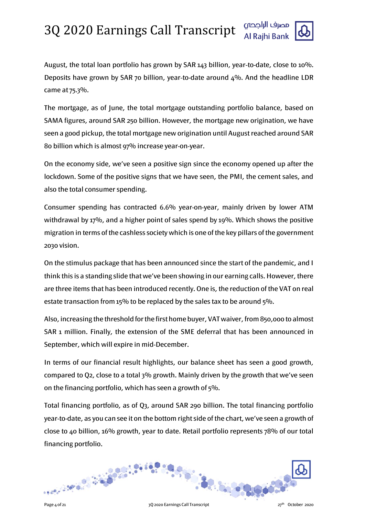

August, the total loan portfolio has grown by SAR 143 billion, year-to-date, close to 10%. Deposits have grown by SAR 70 billion, year-to-date around  $4\%$ . And the headline LDR came at 75.3%.

The mortgage, as of June, the total mortgage outstanding portfolio balance, based on SAMA figures, around SAR 250 billion. However, the mortgage new origination, we have seen a good pickup, the total mortgage new origination until August reached around SAR 80 billion which is almost 97% increase year-on-year.

On the economy side, we've seen a positive sign since the economy opened up after the lockdown. Some of the positive signs that we have seen, the PMI, the cement sales, and also the total consumer spending.

Consumer spending has contracted 6.6% year-on-year, mainly driven by lower ATM withdrawal by 17%, and a higher point of sales spend by 19%. Which shows the positive migration in terms of the cashless society which is one of the key pillars of the government 2030 vision.

On the stimulus package that has been announced since the start of the pandemic, and I think this is a standing slide that we've been showing in our earning calls. However, there are three items that has been introduced recently. One is, the reduction of the VAT on real estate transaction from 15% to be replaced by the sales tax to be around 5%.

Also, increasing the threshold for the first home buyer, VAT waiver, from 850,000 to almost SAR 1 million. Finally, the extension of the SME deferral that has been announced in September, which will expire in mid-December.

In terms of our financial result highlights, our balance sheet has seen a good growth, compared to Q2, close to a total 3% growth. Mainly driven by the growth that we've seen on the financing portfolio, which has seen a growth of 5%.

Total financing portfolio, as of Q3, around SAR 290 billion. The total financing portfolio year-to-date, as you can see it on the bottom right side of the chart, we've seen a growth of close to 40 billion, 16% growth, year to date. Retail portfolio represents 78% of our total financing portfolio.

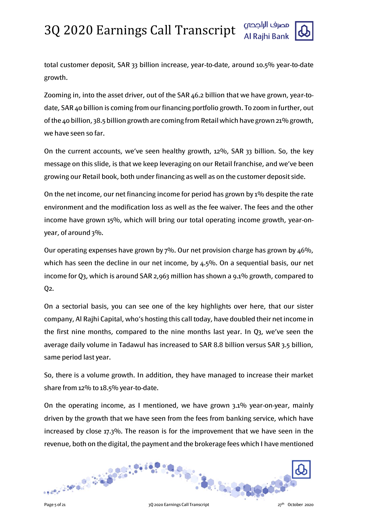

total customer deposit, SAR 33 billion increase, year-to-date, around 10.5% year-to-date growth.

Zooming in, into the asset driver, out of the SAR 46.2 billion that we have grown, year-todate, SAR 40 billion is coming from our financing portfolio growth. To zoom in further, out of the 40 billion, 38.5 billion growth are coming from Retail which have grown 21% growth, we have seen so far.

On the current accounts, we've seen healthy growth, 12%, SAR 33 billion. So, the key message on this slide, is that we keep leveraging on our Retail franchise, and we've been growing our Retail book, both under financing as well as on the customer deposit side.

On the net income, our net financing income for period has grown by  $1\%$  despite the rate environment and the modification loss as well as the fee waiver. The fees and the other income have grown 15%, which will bring our total operating income growth, year-onyear, of around 3%.

Our operating expenses have grown by 7%. Our net provision charge has grown by 46%, which has seen the decline in our net income, by 4.5%. On a sequential basis, our net income for Q3, which is around SAR 2,963 million has shown a 9.1% growth, compared to  $Q<sub>2</sub>$ .

On a sectorial basis, you can see one of the key highlights over here, that our sister company, Al Rajhi Capital, who's hosting this call today, have doubled their net income in the first nine months, compared to the nine months last year. In Q3, we've seen the average daily volume in Tadawul has increased to SAR 8.8 billion versus SAR 3.5 billion, same period last year.

So, there is a volume growth. In addition, they have managed to increase their market share from 12% to 18.5% year-to-date.

On the operating income, as I mentioned, we have grown 3.1% year-on-year, mainly driven by the growth that we have seen from the fees from banking service, which have increased by close 17.3%. The reason is for the improvement that we have seen in the revenue, both on the digital, the payment and the brokerage fees which I have mentioned

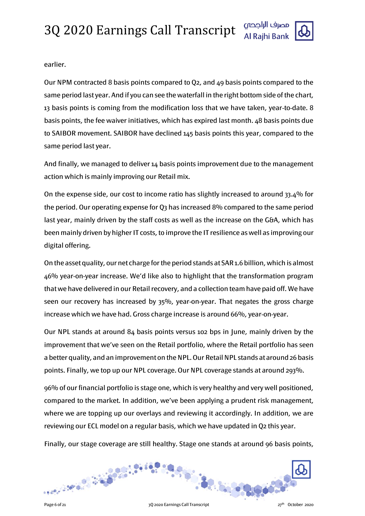

earlier.

Our NPM contracted 8 basis points compared to Q2, and 49 basis points compared to the same period last year. And if you can see the waterfall in the right bottom side of the chart, 13 basis points is coming from the modification loss that we have taken, year-to-date. 8 basis points, the fee waiver initiatives, which has expired last month. 48 basis points due to SAIBOR movement. SAIBOR have declined 145 basis points this year, compared to the same period last year.

And finally, we managed to deliver 14 basis points improvement due to the management action which is mainly improving our Retail mix.

On the expense side, our cost to income ratio has slightly increased to around 33.4% for the period. Our operating expense for Q3 has increased 8% compared to the same period last year, mainly driven by the staff costs as well as the increase on the G&A, which has been mainly driven by higher IT costs, to improve the IT resilience as well as improving our digital offering.

On the asset quality, our net charge for the period stands at SAR 1.6 billion, which is almost 46% year-on-year increase. We'd like also to highlight that the transformation program that we have delivered in our Retail recovery, and a collection team have paid off. We have seen our recovery has increased by 35%, year-on-year. That negates the gross charge increase which we have had. Gross charge increase is around 66%, year-on-year.

Our NPL stands at around 84 basis points versus 102 bps in June, mainly driven by the improvement that we've seen on the Retail portfolio, where the Retail portfolio has seen a better quality, and an improvement on the NPL. Our Retail NPL stands at around 26 basis points. Finally, we top up our NPL coverage. Our NPL coverage stands at around 293%.

96% of our financial portfolio is stage one, which is very healthy and very well positioned, compared to the market. In addition, we've been applying a prudent risk management, where we are topping up our overlays and reviewing it accordingly. In addition, we are reviewing our ECL model on a regular basis, which we have updated in Q2 this year.

Finally, our stage coverage are still healthy. Stage one stands at around 96 basis points,

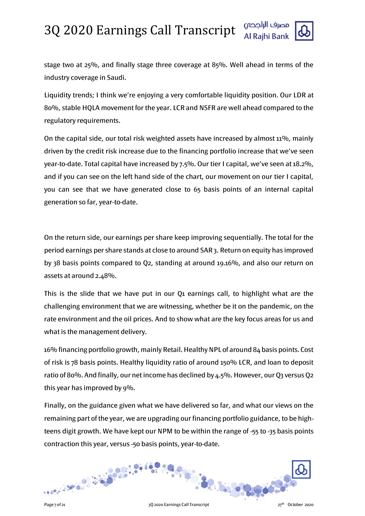

stage two at 25%, and finally stage three coverage at 85%. Well ahead in terms of the industry coverage in Saudi.

Liquidity trends; I think we're enjoying a very comfortable liquidity position. Our LDR at 80%, stable HQLA movement for the year. LCR and NSFR are well ahead compared to the regulatory requirements.

On the capital side, our total risk weighted assets have increased by almost 11%, mainly driven by the credit risk increase due to the financing portfolio increase that we've seen year-to-date. Total capital have increased by 7.5%. Our tier I capital, we've seen at 18.2%, and if you can see on the left hand side of the chart, our movement on our tier I capital, you can see that we have generated close to 65 basis points of an internal capital generation so far, year-to-date.

On the return side, our earnings per share keep improving sequentially. The total for the period earnings per share stands at close to around SAR 3. Return on equity has improved by 38 basis points compared to Q2, standing at around 19.16%, and also our return on assets at around 2.48%.

This is the slide that we have put in our Q1 earnings call, to highlight what are the challenging environment that we are witnessing, whether be it on the pandemic, on the rate environment and the oil prices. And to show what are the key focus areas for us and what is the management delivery.

16% financing portfolio growth, mainly Retail. Healthy NPL of around 84 basis points. Cost of risk is 78 basis points. Healthy liquidity ratio of around 150% LCR, and loan to deposit ratio of 80%. And finally, our net income has declined by 4.5%. However, our Q3 versus Q2 this year has improved by 9%.

Finally, on the guidance given what we have delivered so far, and what our views on the remaining part of the year, we are upgrading our financing portfolio guidance, to be highteens digit growth. We have kept our NPM to be within the range of -55 to -35 basis points contraction this year, versus -50 basis points, year-to-date.

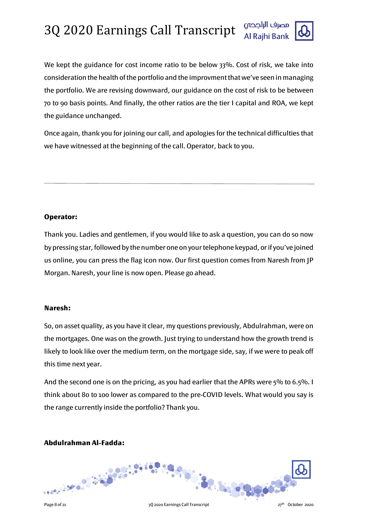

We kept the guidance for cost income ratio to be below 33%. Cost of risk, we take into consideration the health of the portfolio and the improvmentthat we've seen in managing the portfolio. We are revising downward, our guidance on the cost of risk to be between 70 to 90 basis points. And finally, the other ratios are the tier I capital and ROA, we kept the guidance unchanged.

Once again, thank you for joining our call, and apologies for the technical difficulties that we have witnessed at the beginning of the call. Operator, back to you.

# **Operator:**

Thank you. Ladies and gentlemen, if you would like to ask a question, you can do so now by pressing star, followed by the number one on your telephone keypad, or if you've joined us online, you can press the flag icon now. Our first question comes from Naresh from JP Morgan. Naresh, your line is now open. Please go ahead.

# **Naresh:**

So, on asset quality, as you have it clear, my questions previously, Abdulrahman, were on the mortgages. One was on the growth. Just trying to understand how the growth trend is likely to look like over the medium term, on the mortgage side, say, if we were to peak off this time next year.

And the second one is on the pricing, as you had earlier that the APRs were 5% to 6.5%. I think about 80 to 100 lower as compared to the pre-COVID levels. What would you say is the range currently inside the portfolio? Thank you.

# **Abdulrahman Al-Fadda:**

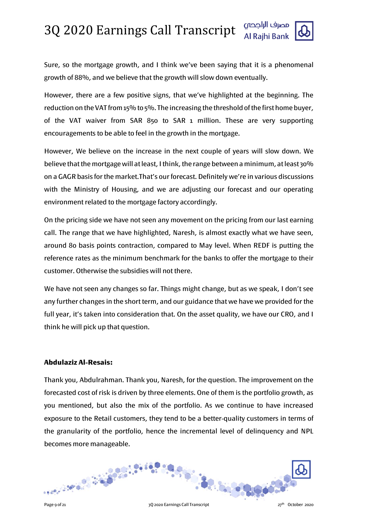Sure, so the mortgage growth, and I think we've been saying that it is a phenomenal growth of 88%, and we believe that the growth will slow down eventually.

However, there are a few positive signs, that we've highlighted at the beginning. The reduction on the VAT from 15% to 5%. The increasing the threshold of the first home buyer, of the VAT waiver from SAR 850 to SAR 1 million. These are very supporting encouragements to be able to feel in the growth in the mortgage.

However, We believe on the increase in the next couple of years will slow down. We believe that the mortgage will at least, I think, the range between a minimum, at least 30% on a GAGR basis for the market.That's our forecast. Definitely we're in various discussions with the Ministry of Housing, and we are adjusting our forecast and our operating environment related to the mortgage factory accordingly.

On the pricing side we have not seen any movement on the pricing from our last earning call. The range that we have highlighted, Naresh, is almost exactly what we have seen, around 80 basis points contraction, compared to May level. When REDF is putting the reference rates as the minimum benchmark for the banks to offer the mortgage to their customer. Otherwise the subsidies will not there.

We have not seen any changes so far. Things might change, but as we speak, I don't see any further changes in the short term, and our guidance that we have we provided for the full year, it's taken into consideration that. On the asset quality, we have our CRO, and I think he will pick up that question.

### **Abdulaziz Al-Resais:**

Thank you, Abdulrahman. Thank you, Naresh, for the question. The improvement on the forecasted cost of risk is driven by three elements. One of them is the portfolio growth, as you mentioned, but also the mix of the portfolio. As we continue to have increased exposure to the Retail customers, they tend to be a better-quality customers in terms of the granularity of the portfolio, hence the incremental level of delinquency and NPL becomes more manageable.

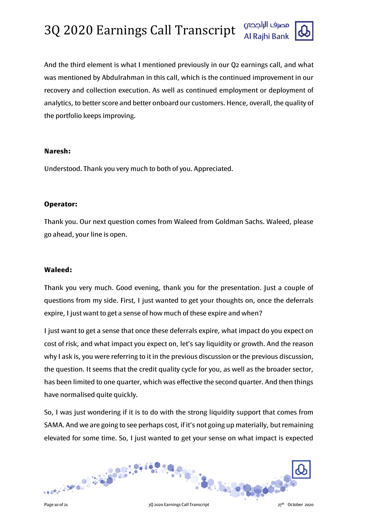

And the third element is what I mentioned previously in our Q2 earnings call, and what was mentioned by Abdulrahman in this call, which is the continued improvement in our recovery and collection execution. As well as continued employment or deployment of analytics, to better score and better onboard our customers. Hence, overall, the quality of the portfolio keeps improving.

### **Naresh:**

Understood. Thank you very much to both of you. Appreciated.

### **Operator:**

Thank you. Our next question comes from Waleed from Goldman Sachs. Waleed, please go ahead, your line is open.

### **Waleed:**

Thank you very much. Good evening, thank you for the presentation. Just a couple of questions from my side. First, I just wanted to get your thoughts on, once the deferrals expire, I just want to get a sense of how much of these expire and when?

I just want to get a sense that once these deferrals expire, what impact do you expect on cost of risk, and what impact you expect on, let's say liquidity or growth. And the reason why I ask is, you were referring to it in the previous discussion or the previous discussion, the question. It seems that the credit quality cycle for you, as well as the broader sector, has been limited to one quarter, which was effective the second quarter. And then things have normalised quite quickly.

So, I was just wondering if it is to do with the strong liquidity support that comes from SAMA. And we are going to see perhaps cost, if it's not going up materially, but remaining elevated for some time. So, I just wanted to get your sense on what impact is expected

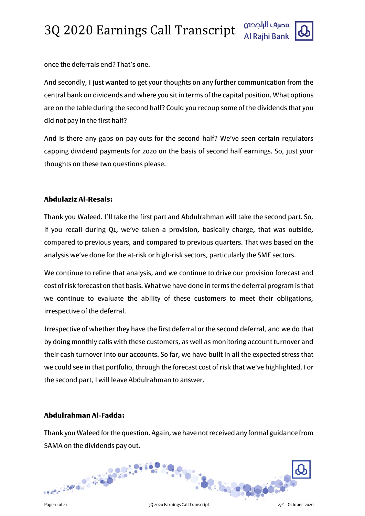

once the deferrals end? That's one.

And secondly, I just wanted to get your thoughts on any further communication from the central bank on dividends and where you sit in terms of the capital position. What options are on the table during the second half? Could you recoup some of the dividends that you did not pay in the first half?

And is there any gaps on pay-outs for the second half? We've seen certain regulators capping dividend payments for 2020 on the basis of second half earnings. So, just your thoughts on these two questions please.

# **Abdulaziz Al-Resais:**

Thank you Waleed. I'll take the first part and Abdulrahman will take the second part. So, if you recall during Q1, we've taken a provision, basically charge, that was outside, compared to previous years, and compared to previous quarters. That was based on the analysis we've done for the at-risk or high-risk sectors, particularly the SME sectors.

We continue to refine that analysis, and we continue to drive our provision forecast and cost of risk forecast on that basis. What we have done in terms the deferral program is that we continue to evaluate the ability of these customers to meet their obligations, irrespective of the deferral.

Irrespective of whether they have the first deferral or the second deferral, and we do that by doing monthly calls with these customers, as well as monitoring account turnover and their cash turnover into our accounts. So far, we have built in all the expected stress that we could see in that portfolio, through the forecast cost of risk that we've highlighted. For the second part, I will leave Abdulrahman to answer.

# **Abdulrahman Al-Fadda:**

Thank you Waleed for the question. Again, we have not received any formal guidance from SAMA on the dividends pay out.

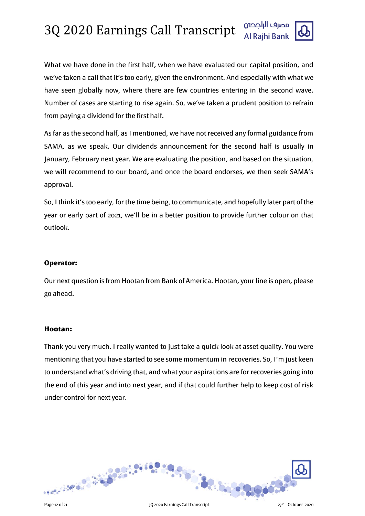

What we have done in the first half, when we have evaluated our capital position, and we've taken a call that it's too early, given the environment. And especially with what we have seen globally now, where there are few countries entering in the second wave. Number of cases are starting to rise again. So, we've taken a prudent position to refrain from paying a dividend for the first half.

As far as the second half, as I mentioned, we have not received any formal guidance from SAMA, as we speak. Our dividends announcement for the second half is usually in January, February next year. We are evaluating the position, and based on the situation, we will recommend to our board, and once the board endorses, we then seek SAMA's approval.

So, I think it's too early, for the time being, to communicate, and hopefully later part of the year or early part of 2021, we'll be in a better position to provide further colour on that outlook.

# **Operator:**

Our next question is from Hootan from Bank of America. Hootan, your line is open, please go ahead.

### **Hootan:**

Thank you very much. I really wanted to just take a quick look at asset quality. You were mentioning that you have started to see some momentum in recoveries. So, I'm just keen to understand what's driving that, and what your aspirations are for recoveries going into the end of this year and into next year, and if that could further help to keep cost of risk under control for next year.



Page 12 of 21 3Q 2020 Earnings Call Transcript 27th October 2020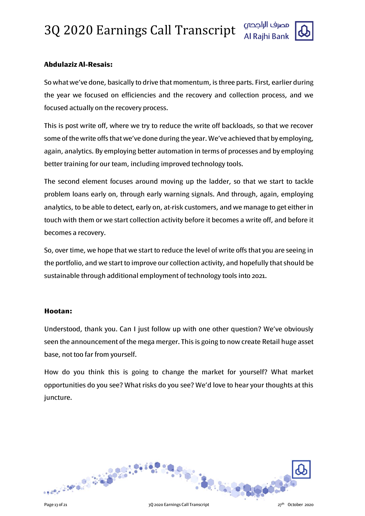

# **Abdulaziz Al-Resais:**

So what we've done, basically to drive that momentum, is three parts. First, earlier during the year we focused on efficiencies and the recovery and collection process, and we focused actually on the recovery process.

This is post write off, where we try to reduce the write off backloads, so that we recover some of the write offs that we've done during the year. We've achieved that by employing, again, analytics. By employing better automation in terms of processes and by employing better training for our team, including improved technology tools.

The second element focuses around moving up the ladder, so that we start to tackle problem loans early on, through early warning signals. And through, again, employing analytics, to be able to detect, early on, at-risk customers, and we manage to get either in touch with them or we start collection activity before it becomes a write off, and before it becomes a recovery.

So, over time, we hope that we start to reduce the level of write offs that you are seeing in the portfolio, and we start to improve our collection activity, and hopefully that should be sustainable through additional employment of technology tools into 2021.

### **Hootan:**

Understood, thank you. Can I just follow up with one other question? We've obviously seen the announcement of the mega merger. This is going to now create Retail huge asset base, not too far from yourself.

How do you think this is going to change the market for yourself? What market opportunities do you see? What risks do you see? We'd love to hear your thoughts at this juncture.

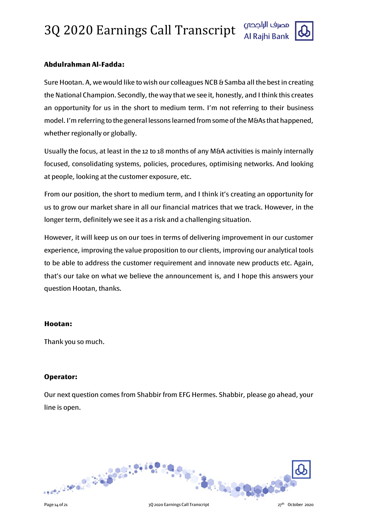

# **Abdulrahman Al-Fadda:**

Sure Hootan. A, we would like to wish our colleagues NCB & Samba all the best in creating the National Champion. Secondly, the way that we see it, honestly, and I think this creates an opportunity for us in the short to medium term. I'm not referring to their business model. I'm referring to the general lessons learned from some of the M&As that happened, whether regionally or globally.

Usually the focus, at least in the 12 to 18 months of any M&A activities is mainly internally focused, consolidating systems, policies, procedures, optimising networks. And looking at people, looking at the customer exposure, etc.

From our position, the short to medium term, and I think it's creating an opportunity for us to grow our market share in all our financial matrices that we track. However, in the longer term, definitely we see it as a risk and a challenging situation.

However, it will keep us on our toes in terms of delivering improvement in our customer experience, improving the value proposition to our clients, improving our analytical tools to be able to address the customer requirement and innovate new products etc. Again, that's our take on what we believe the announcement is, and I hope this answers your question Hootan, thanks.

### **Hootan:**

Thank you so much.

### **Operator:**

Our next question comes from Shabbir from EFG Hermes. Shabbir, please go ahead, your line is open.

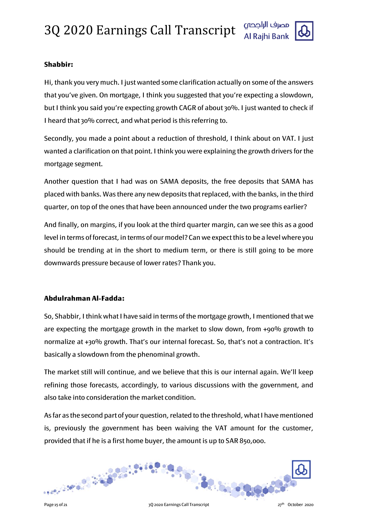

# **Shabbir:**

Hi, thank you very much. I just wanted some clarification actually on some of the answers that you've given. On mortgage, I think you suggested that you're expecting a slowdown, but I think you said you're expecting growth CAGR of about 30%. I just wanted to check if I heard that 30% correct, and what period is this referring to.

Secondly, you made a point about a reduction of threshold, I think about on VAT. I just wanted a clarification on that point. I think you were explaining the growth drivers for the mortgage segment.

Another question that I had was on SAMA deposits, the free deposits that SAMA has placed with banks. Was there any new deposits that replaced, with the banks, in the third quarter, on top of the ones that have been announced under the two programs earlier?

And finally, on margins, if you look at the third quarter margin, can we see this as a good level in terms of forecast, in terms of our model? Can we expect this to be a level where you should be trending at in the short to medium term, or there is still going to be more downwards pressure because of lower rates? Thank you.

# **Abdulrahman Al-Fadda:**

So, Shabbir, I think what I have said in terms of the mortgage growth, I mentioned that we are expecting the mortgage growth in the market to slow down, from +90% growth to normalize at +30% growth. That's our internal forecast. So, that's not a contraction. It's basically a slowdown from the phenominal growth.

The market still will continue, and we believe that this is our internal again. We'll keep refining those forecasts, accordingly, to various discussions with the government, and also take into consideration the market condition.

As far as the second part of your question, related to the threshold, what I have mentioned is, previously the government has been waiving the VAT amount for the customer, provided that if he is a first home buyer, the amount is up to SAR 850,000.

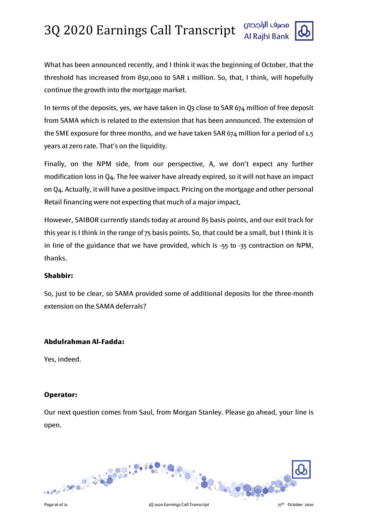

What has been announced recently, and I think it was the beginning of October, that the threshold has increased from 850,000 to SAR 1 million. So, that, I think, will hopefully continue the growth into the mortgage market.

In terms of the deposits, yes, we have taken in Q3 close to SAR 674 million of free deposit from SAMA which is related to the extension that has been announced. The extension of the SME exposure for three months, and we have taken SAR 674 million for a period of 1.5 years at zero rate. That's on the liquidity.

Finally, on the NPM side, from our perspective, A, we don't expect any further modification loss in Q4. The fee waiver have already expired, so it will not have an impact on Q4. Actually, it will have a positive impact. Pricing on the mortgage and other personal Retail financing were not expecting that much of a major impact,

However, SAIBOR currently stands today at around 85 basis points, and our exit track for this year is I think in the range of 75 basis points. So, that could be a small, but I think it is in line of the guidance that we have provided, which is -55 to -35 contraction on NPM, thanks.

# **Shabbir:**

So, just to be clear, so SAMA provided some of additional deposits for the three-month extension on the SAMA deferrals?

### **Abdulrahman Al-Fadda:**

Yes, indeed.

# **Operator:**

Our next question comes from Saul, from Morgan Stanley. Please go ahead, your line is open.

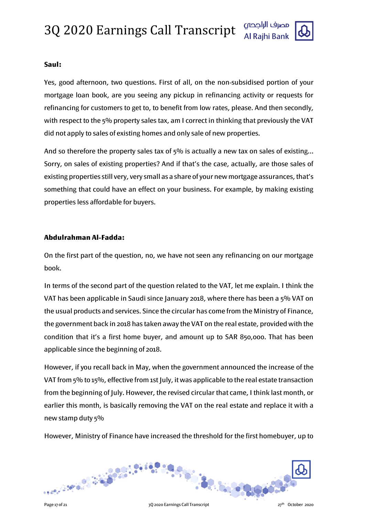

# **Saul:**

Yes, good afternoon, two questions. First of all, on the non-subsidised portion of your mortgage loan book, are you seeing any pickup in refinancing activity or requests for refinancing for customers to get to, to benefit from low rates, please. And then secondly, with respect to the 5% property sales tax, am I correct in thinking that previously the VAT did not apply to sales of existing homes and only sale of new properties.

And so therefore the property sales tax of 5% is actually a new tax on sales of existing... Sorry, on sales of existing properties? And if that's the case, actually, are those sales of existing properties still very, very small as a share of your new mortgage assurances, that's something that could have an effect on your business. For example, by making existing properties less affordable for buyers.

# **Abdulrahman Al-Fadda:**

On the first part of the question, no, we have not seen any refinancing on our mortgage book.

In terms of the second part of the question related to the VAT, let me explain. I think the VAT has been applicable in Saudi since January 2018, where there has been a 5% VAT on the usual products and services. Since the circular has come from the Ministry of Finance, the government back in 2018 has taken away the VAT on the real estate, provided with the condition that it's a first home buyer, and amount up to SAR 850,000. That has been applicable since the beginning of 2018.

However, if you recall back in May, when the government announced the increase of the VAT from 5% to 15%, effective from 1st July, it was applicable to the real estate transaction from the beginning of July. However, the revised circular that came, I think last month, or earlier this month, is basically removing the VAT on the real estate and replace it with a new stamp duty 5%

However, Ministry of Finance have increased the threshold for the first homebuyer, up to

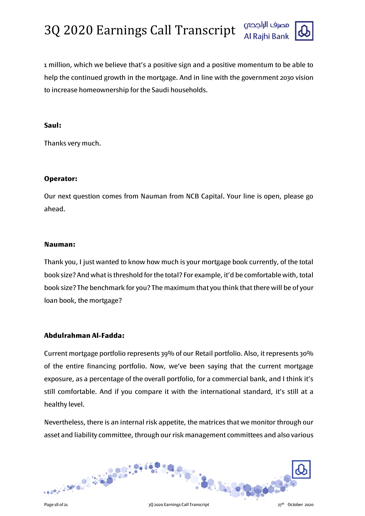

1 million, which we believe that's a positive sign and a positive momentum to be able to help the continued growth in the mortgage. And in line with the government 2030 vision to increase homeownership for the Saudi households.

#### **Saul:**

Thanks very much.

### **Operator:**

Our next question comes from Nauman from NCB Capital. Your line is open, please go ahead.

#### **Nauman:**

Thank you, I just wanted to know how much is your mortgage book currently, of the total book size? And what is threshold for the total? For example, it'd be comfortable with, total book size? The benchmark for you? The maximum that you think that there will be of your loan book, the mortgage?

### **Abdulrahman Al-Fadda:**

Current mortgage portfolio represents 39% of our Retail portfolio. Also, it represents 30% of the entire financing portfolio. Now, we've been saying that the current mortgage exposure, as a percentage of the overall portfolio, for a commercial bank, and I think it's still comfortable. And if you compare it with the international standard, it's still at a healthy level.

Nevertheless, there is an internal risk appetite, the matrices that we monitor through our asset and liability committee, through our risk management committees and also various

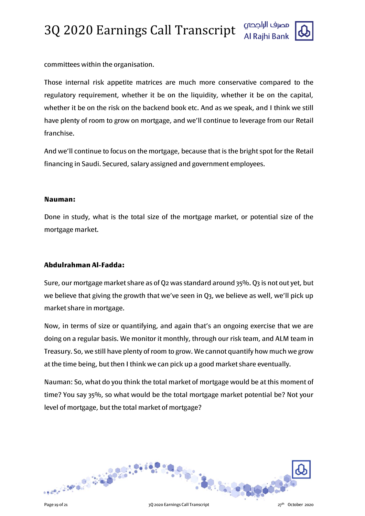

committees within the organisation.

Those internal risk appetite matrices are much more conservative compared to the regulatory requirement, whether it be on the liquidity, whether it be on the capital, whether it be on the risk on the backend book etc. And as we speak, and I think we still have plenty of room to grow on mortgage, and we'll continue to leverage from our Retail franchise.

And we'll continue to focus on the mortgage, because that is the bright spot for the Retail financing in Saudi. Secured, salary assigned and government employees.

# **Nauman:**

Done in study, what is the total size of the mortgage market, or potential size of the mortgage market.

# **Abdulrahman Al-Fadda:**

Sure, our mortgage market share as of Q2 was standard around 35%. Q3 is not out yet, but we believe that giving the growth that we've seen in Q3, we believe as well, we'll pick up market share in mortgage.

Now, in terms of size or quantifying, and again that's an ongoing exercise that we are doing on a regular basis. We monitor it monthly, through our risk team, and ALM team in Treasury. So, we still have plenty of room to grow. We cannot quantify how much we grow at the time being, but then I think we can pick up a good market share eventually.

Nauman: So, what do you think the total market of mortgage would be at this moment of time? You say 35%, so what would be the total mortgage market potential be? Not your level of mortgage, but the total market of mortgage?

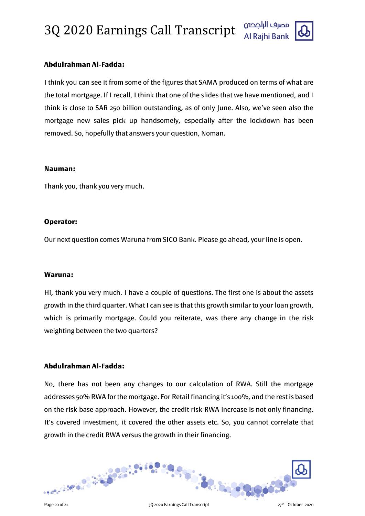

# **Abdulrahman Al-Fadda:**

I think you can see it from some of the figures that SAMA produced on terms of what are the total mortgage. If I recall, I think that one of the slides that we have mentioned, and I think is close to SAR 250 billion outstanding, as of only June. Also, we've seen also the mortgage new sales pick up handsomely, especially after the lockdown has been removed. So, hopefully that answers your question, Noman.

#### **Nauman:**

Thank you, thank you very much.

# **Operator:**

Our next question comes Waruna from SICO Bank. Please go ahead, your line is open.

### **Waruna:**

Hi, thank you very much. I have a couple of questions. The first one is about the assets growth in the third quarter. What I can see is that this growth similar to your loan growth, which is primarily mortgage. Could you reiterate, was there any change in the risk weighting between the two quarters?

# **Abdulrahman Al-Fadda:**

No, there has not been any changes to our calculation of RWA. Still the mortgage addresses 50% RWA for the mortgage. For Retail financing it's 100%, and the rest is based on the risk base approach. However, the credit risk RWA increase is not only financing. It's covered investment, it covered the other assets etc. So, you cannot correlate that growth in the credit RWA versus the growth in their financing.